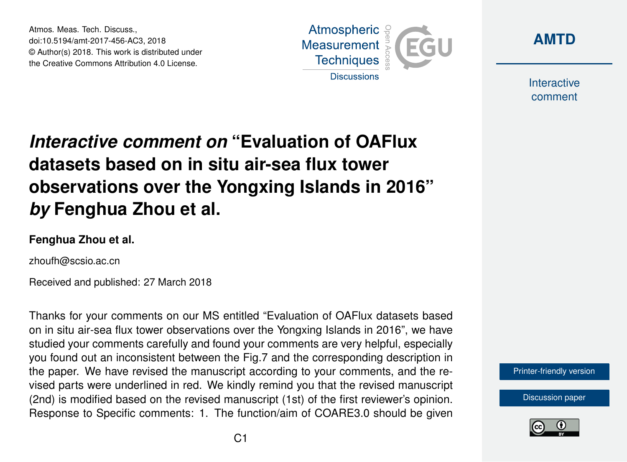Atmos. Meas. Tech. Discuss., doi:10.5194/amt-2017-456-AC3, 2018 © Author(s) 2018. This work is distributed under the Creative Commons Attribution 4.0 License.





Interactive comment

## *Interactive comment on* **"Evaluation of OAFlux datasets based on in situ air-sea flux tower observations over the Yongxing Islands in 2016"** *by* **Fenghua Zhou et al.**

## **Fenghua Zhou et al.**

zhoufh@scsio.ac.cn

Received and published: 27 March 2018

Thanks for your comments on our MS entitled "Evaluation of OAFlux datasets based on in situ air-sea flux tower observations over the Yongxing Islands in 2016", we have studied your comments carefully and found your comments are very helpful, especially you found out an inconsistent between the Fig.7 and the corresponding description in the paper. We have revised the manuscript according to your comments, and the revised parts were underlined in red. We kindly remind you that the revised manuscript (2nd) is modified based on the revised manuscript (1st) of the first reviewer's opinion. Response to Specific comments: 1. The function/aim of COARE3.0 should be given

[Printer-friendly version](https://www.atmos-meas-tech-discuss.net/amt-2017-456/amt-2017-456-AC3-print.pdf)

[Discussion paper](https://www.atmos-meas-tech-discuss.net/amt-2017-456)

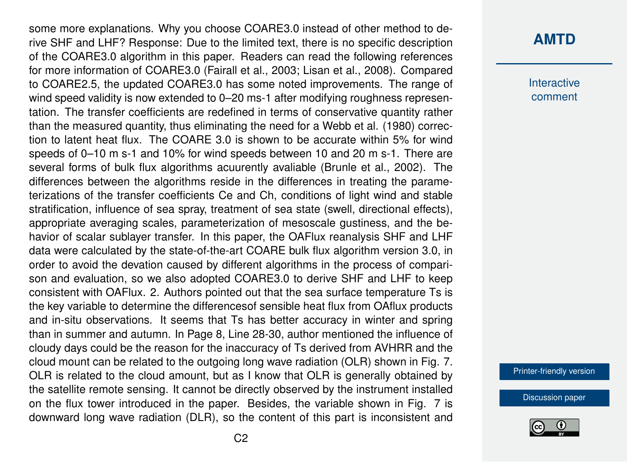some more explanations. Why you choose COARE3.0 instead of other method to derive SHF and LHF? Response: Due to the limited text, there is no specific description of the COARE3.0 algorithm in this paper. Readers can read the following references for more information of COARE3.0 (Fairall et al., 2003; Lisan et al., 2008). Compared to COARE2.5, the updated COARE3.0 has some noted improvements. The range of wind speed validity is now extended to 0–20 ms-1 after modifying roughness representation. The transfer coefficients are redefined in terms of conservative quantity rather than the measured quantity, thus eliminating the need for a Webb et al. (1980) correction to latent heat flux. The COARE 3.0 is shown to be accurate within 5% for wind speeds of 0–10 m s-1 and 10% for wind speeds between 10 and 20 m s-1. There are several forms of bulk flux algorithms acuurently avaliable (Brunle et al., 2002). The differences between the algorithms reside in the differences in treating the parameterizations of the transfer coefficients Ce and Ch, conditions of light wind and stable stratification, influence of sea spray, treatment of sea state (swell, directional effects), appropriate averaging scales, parameterization of mesoscale gustiness, and the behavior of scalar sublayer transfer. In this paper, the OAFlux reanalysis SHF and LHF data were calculated by the state-of-the-art COARE bulk flux algorithm version 3.0, in order to avoid the devation caused by different algorithms in the process of comparison and evaluation, so we also adopted COARE3.0 to derive SHF and LHF to keep consistent with OAFlux. 2. Authors pointed out that the sea surface temperature Ts is the key variable to determine the differencesof sensible heat flux from OAflux products and in-situ observations. It seems that Ts has better accuracy in winter and spring than in summer and autumn. In Page 8, Line 28-30, author mentioned the influence of cloudy days could be the reason for the inaccuracy of Ts derived from AVHRR and the cloud mount can be related to the outgoing long wave radiation (OLR) shown in Fig. 7. OLR is related to the cloud amount, but as I know that OLR is generally obtained by the satellite remote sensing. It cannot be directly observed by the instrument installed on the flux tower introduced in the paper. Besides, the variable shown in Fig. 7 is downward long wave radiation (DLR), so the content of this part is inconsistent and

## **[AMTD](https://www.atmos-meas-tech-discuss.net/)**

**Interactive** comment

[Printer-friendly version](https://www.atmos-meas-tech-discuss.net/amt-2017-456/amt-2017-456-AC3-print.pdf)

[Discussion paper](https://www.atmos-meas-tech-discuss.net/amt-2017-456)